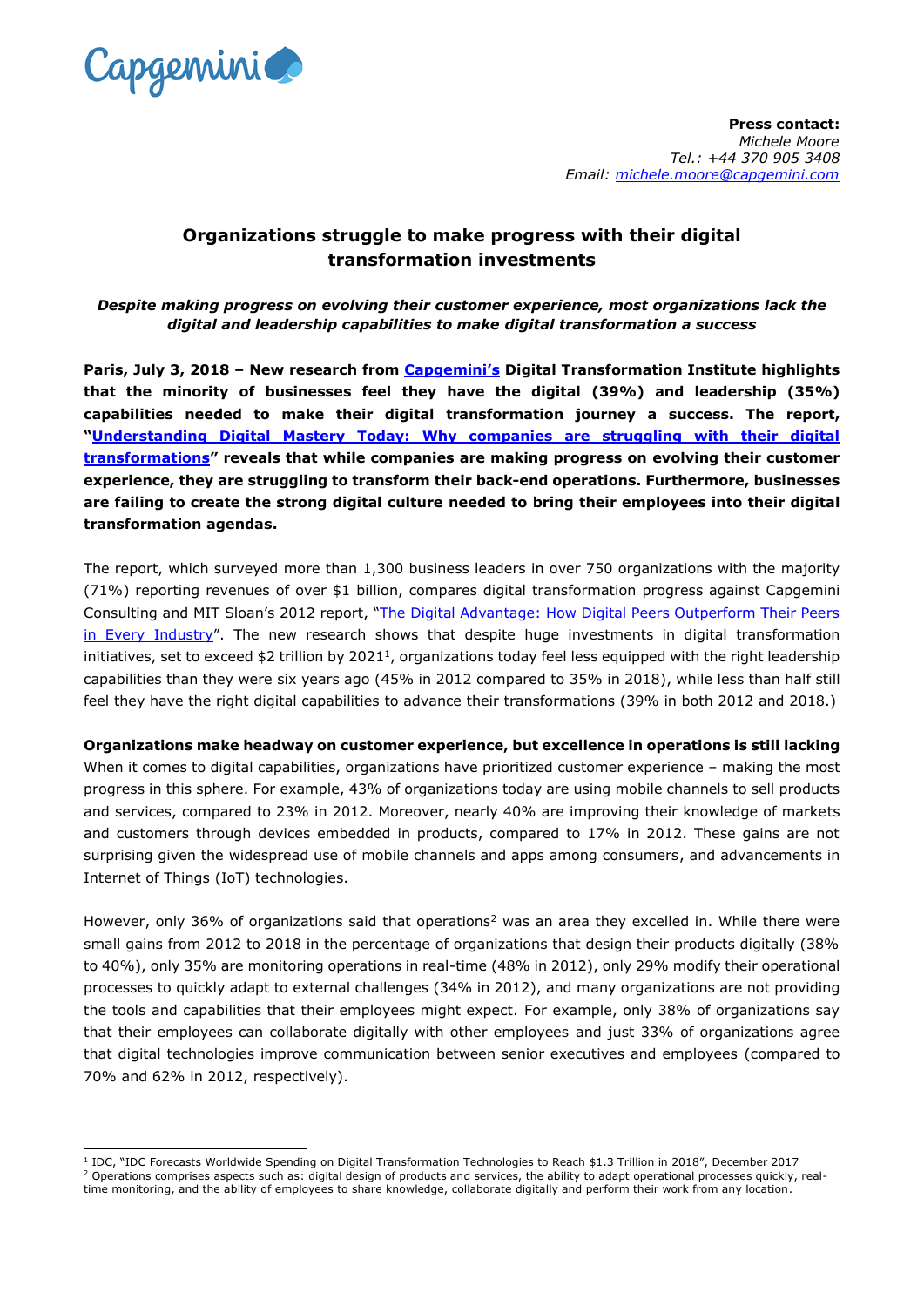

# **Organizations struggle to make progress with their digital transformation investments**

*Despite making progress on evolving their customer experience, most organizations lack the digital and leadership capabilities to make digital transformation a success*

**Paris, July 3, 2018 – New research from [Capgemini's](https://www.capgemini.com/gb-en/) Digital Transformation Institute highlights that the minority of businesses feel they have the digital (39%) and leadership (35%) capabilities needed to make their digital transformation journey a success. The report, "[Understanding Digital Mastery Today: Why companies are struggling with their digital](https://www.capgemini.com/resources/understanding-digital-mastery-today?utm_source=pr&utm_medium=referral&utm_content=none_none_link_pressrelease_none&utm_campaign=disruptdigital_dti_digitalmaturity)  [transformations](https://www.capgemini.com/resources/understanding-digital-mastery-today?utm_source=pr&utm_medium=referral&utm_content=none_none_link_pressrelease_none&utm_campaign=disruptdigital_dti_digitalmaturity)" reveals that while companies are making progress on evolving their customer experience, they are struggling to transform their back-end operations. Furthermore, businesses are failing to create the strong digital culture needed to bring their employees into their digital transformation agendas.** 

The report, which surveyed more than 1,300 business leaders in over 750 organizations with the majority (71%) reporting revenues of over \$1 billion, compares digital transformation progress against Capgemini Consulting and MIT Sloan's 2012 report, "[The Digital Advantage: How Digital Peers Outperform Their Peers](https://www.capgemini.com/news/global-study-reveals-that-the-most-digitally-mature-companies/)  [in Every Industry](https://www.capgemini.com/news/global-study-reveals-that-the-most-digitally-mature-companies/)". The new research shows that despite huge investments in digital transformation initiatives, set to exceed \$2 trillion by 2021<sup>1</sup>, organizations today feel less equipped with the right leadership capabilities than they were six years ago (45% in 2012 compared to 35% in 2018), while less than half still feel they have the right digital capabilities to advance their transformations (39% in both 2012 and 2018.)

## **Organizations make headway on customer experience, but excellence in operations is still lacking**

When it comes to digital capabilities, organizations have prioritized customer experience - making the most progress in this sphere. For example, 43% of organizations today are using mobile channels to sell products and services, compared to 23% in 2012. Moreover, nearly 40% are improving their knowledge of markets and customers through devices embedded in products, compared to 17% in 2012. These gains are not surprising given the widespread use of mobile channels and apps among consumers, and advancements in Internet of Things (IoT) technologies.

However, only 36% of organizations said that operations<sup>2</sup> was an area they excelled in. While there were small gains from 2012 to 2018 in the percentage of organizations that design their products digitally (38% to 40%), only 35% are monitoring operations in real-time (48% in 2012), only 29% modify their operational processes to quickly adapt to external challenges (34% in 2012), and many organizations are not providing the tools and capabilities that their employees might expect. For example, only 38% of organizations say that their employees can collaborate digitally with other employees and just 33% of organizations agree that digital technologies improve communication between senior executives and employees (compared to 70% and 62% in 2012, respectively).

<sup>-</sup><sup>1</sup> IDC, "IDC Forecasts Worldwide Spending on Digital Transformation Technologies to Reach \$1.3 Trillion in 2018", December 2017

<sup>&</sup>lt;sup>2</sup> Operations comprises aspects such as: digital design of products and services, the ability to adapt operational processes quickly, realtime monitoring, and the ability of employees to share knowledge, collaborate digitally and perform their work from any location.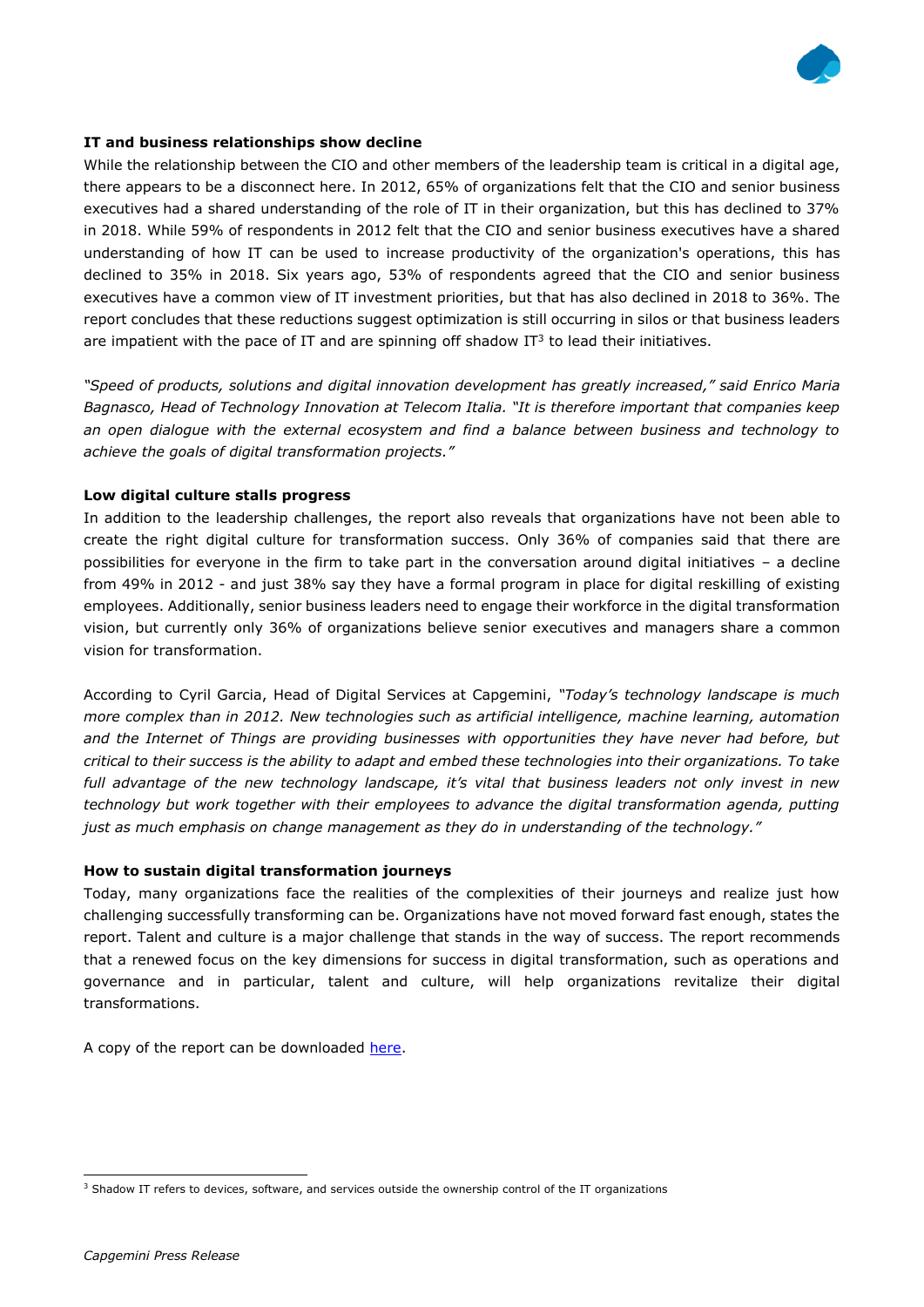

## **IT and business relationships show decline**

While the relationship between the CIO and other members of the leadership team is critical in a digital age, there appears to be a disconnect here. In 2012, 65% of organizations felt that the CIO and senior business executives had a shared understanding of the role of IT in their organization, but this has declined to 37% in 2018. While 59% of respondents in 2012 felt that the CIO and senior business executives have a shared understanding of how IT can be used to increase productivity of the organization's operations, this has declined to 35% in 2018. Six years ago, 53% of respondents agreed that the CIO and senior business executives have a common view of IT investment priorities, but that has also declined in 2018 to 36%. The report concludes that these reductions suggest optimization is still occurring in silos or that business leaders are impatient with the pace of IT and are spinning off shadow IT $3$  to lead their initiatives.

*"Speed of products, solutions and digital innovation development has greatly increased," said Enrico Maria Bagnasco, Head of Technology Innovation at Telecom Italia. "It is therefore important that companies keep an open dialogue with the external ecosystem and find a balance between business and technology to achieve the goals of digital transformation projects."*

## **Low digital culture stalls progress**

In addition to the leadership challenges, the report also reveals that organizations have not been able to create the right digital culture for transformation success. Only 36% of companies said that there are possibilities for everyone in the firm to take part in the conversation around digital initiatives – a decline from 49% in 2012 - and just 38% say they have a formal program in place for digital reskilling of existing employees. Additionally, senior business leaders need to engage their workforce in the digital transformation vision, but currently only 36% of organizations believe senior executives and managers share a common vision for transformation.

According to Cyril Garcia, Head of Digital Services at Capgemini, *"Today's technology landscape is much more complex than in 2012. New technologies such as artificial intelligence, machine learning, automation and the Internet of Things are providing businesses with opportunities they have never had before, but critical to their success is the ability to adapt and embed these technologies into their organizations. To take full advantage of the new technology landscape, it's vital that business leaders not only invest in new technology but work together with their employees to advance the digital transformation agenda, putting just as much emphasis on change management as they do in understanding of the technology."* 

## **How to sustain digital transformation journeys**

Today, many organizations face the realities of the complexities of their journeys and realize just how challenging successfully transforming can be. Organizations have not moved forward fast enough, states the report. Talent and culture is a major challenge that stands in the way of success. The report recommends that a renewed focus on the key dimensions for success in digital transformation, such as operations and governance and in particular, talent and culture, will help organizations revitalize their digital transformations.

A copy of the report can be downloaded [here.](https://www.capgemini.com/resources/understanding-digital-mastery-today?utm_source=pr&utm_medium=referral&utm_content=none_none_link_pressrelease_none&utm_campaign=disruptdigital_dti_digitalmaturity)

 $\overline{a}$ 

<sup>&</sup>lt;sup>3</sup> Shadow IT refers to devices, software, and services outside the ownership control of the IT organizations